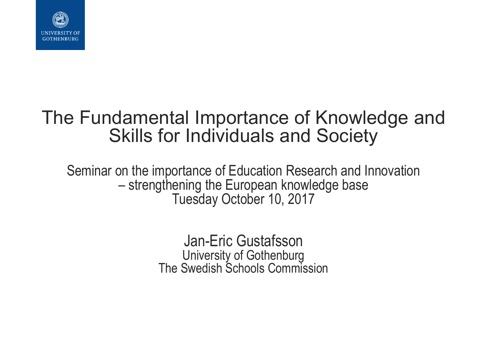

#### The Fundamental Importance of Knowledge and Skills for Individuals and Society

Seminar on the importance of Education Research and Innovation – strengthening the European knowledge base Tuesday October 10, 2017

> Jan-Eric Gustafsson University of Gothenburg The Swedish Schools Commission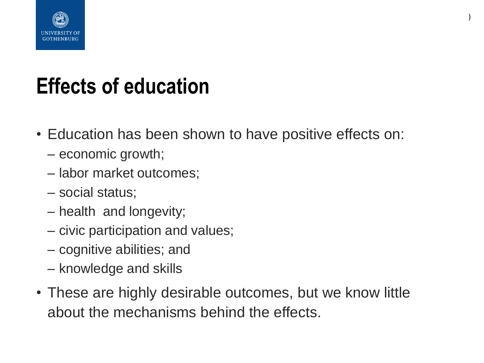

#### **Effects of education**

• Education has been shown to have positive effects on:

**)**

- economic growth;
- labor market outcomes;
- social status;
- health and longevity;
- civic participation and values;
- cognitive abilities; and
- knowledge and skills
- These are highly desirable outcomes, but we know little about the mechanisms behind the effects.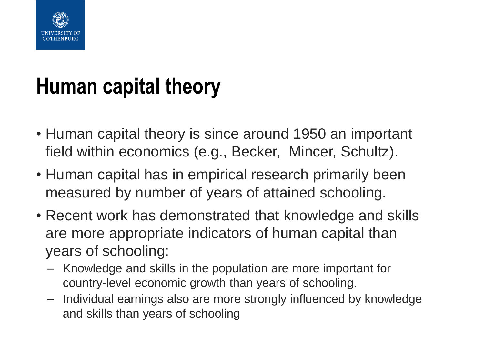

## **Human capital theory**

- Human capital theory is since around 1950 an important field within economics (e.g., Becker, Mincer, Schultz).
- Human capital has in empirical research primarily been measured by number of years of attained schooling.
- Recent work has demonstrated that knowledge and skills are more appropriate indicators of human capital than years of schooling:
	- Knowledge and skills in the population are more important for country-level economic growth than years of schooling.
	- Individual earnings also are more strongly influenced by knowledge and skills than years of schooling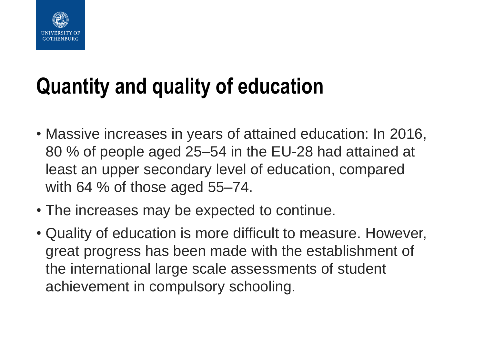

## **Quantity and quality of education**

- Massive increases in years of attained education: In 2016, 80 % of people aged 25–54 in the EU-28 had attained at least an upper secondary level of education, compared with 64 % of those aged 55–74.
- The increases may be expected to continue.
- Quality of education is more difficult to measure. However, great progress has been made with the establishment of the international large scale assessments of student achievement in compulsory schooling.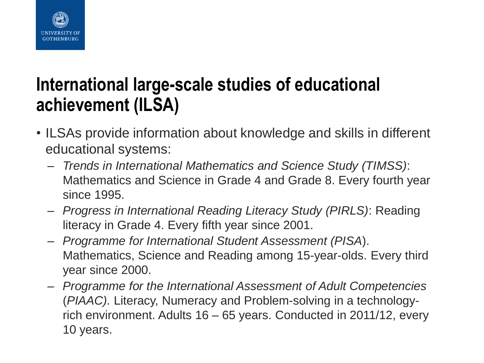

#### **International large-scale studies of educational achievement (ILSA)**

- ILSAs provide information about knowledge and skills in different educational systems:
	- *Trends in International Mathematics and Science Study (TIMSS)*: Mathematics and Science in Grade 4 and Grade 8. Every fourth year since 1995.
	- *Progress in International Reading Literacy Study (PIRLS)*: Reading literacy in Grade 4. Every fifth year since 2001.
	- *Programme for International Student Assessment (PISA*). Mathematics, Science and Reading among 15-year-olds. Every third year since 2000.
	- *Programme for the International Assessment of Adult Competencies* (*PIAAC).* Literacy, Numeracy and Problem-solving in a technologyrich environment. Adults 16 – 65 years. Conducted in 2011/12, every 10 years.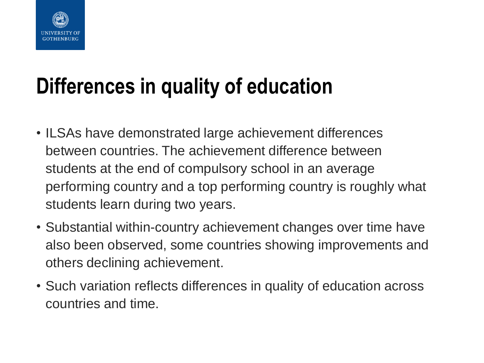

## **Differences in quality of education**

- ILSAs have demonstrated large achievement differences between countries. The achievement difference between students at the end of compulsory school in an average performing country and a top performing country is roughly what students learn during two years.
- Substantial within-country achievement changes over time have also been observed, some countries showing improvements and others declining achievement.
- Such variation reflects differences in quality of education across countries and time.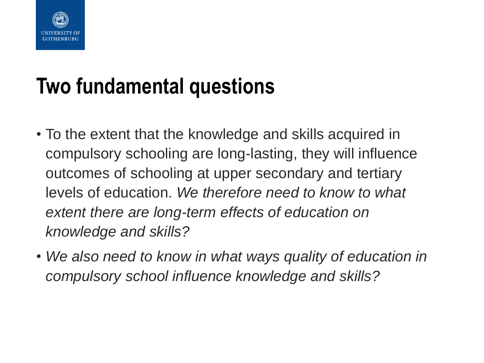

## **Two fundamental questions**

- To the extent that the knowledge and skills acquired in compulsory schooling are long-lasting, they will influence outcomes of schooling at upper secondary and tertiary levels of education. *We therefore need to know to what extent there are long-term effects of education on knowledge and skills?*
- *We also need to know in what ways quality of education in compulsory school influence knowledge and skills?*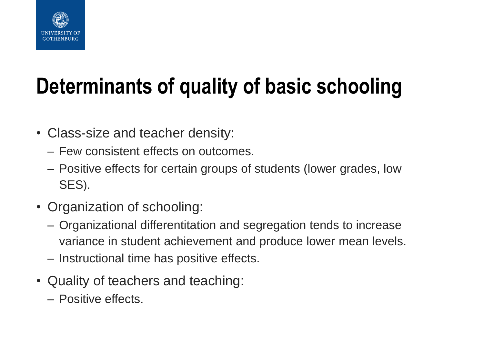

# **Determinants of quality of basic schooling**

- Class-size and teacher density:
	- Few consistent effects on outcomes.
	- Positive effects for certain groups of students (lower grades, low SES).
- Organization of schooling:
	- Organizational differentitation and segregation tends to increase variance in student achievement and produce lower mean levels.
	- Instructional time has positive effects.
- Quality of teachers and teaching:
	- Positive effects.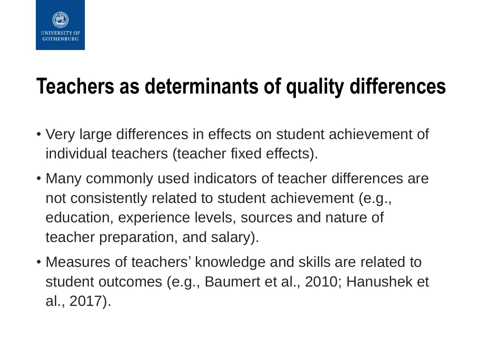

### **Teachers as determinants of quality differences**

- Very large differences in effects on student achievement of individual teachers (teacher fixed effects).
- Many commonly used indicators of teacher differences are not consistently related to student achievement (e.g., education, experience levels, sources and nature of teacher preparation, and salary).
- Measures of teachers' knowledge and skills are related to student outcomes (e.g., Baumert et al., 2010; Hanushek et al., 2017).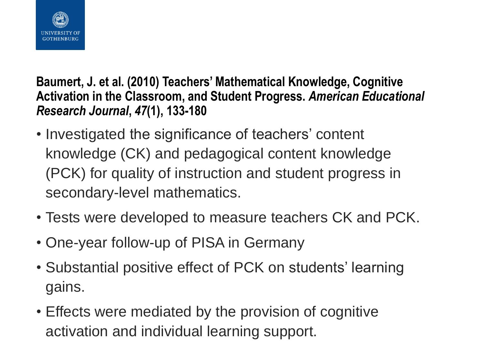

**Baumert, J. et al. (2010) Teachers' Mathematical Knowledge, Cognitive Activation in the Classroom, and Student Progress.** *American Educational Research Journal***,** *47***(1), 133-180**

- Investigated the significance of teachers' content knowledge (CK) and pedagogical content knowledge (PCK) for quality of instruction and student progress in secondary-level mathematics.
- Tests were developed to measure teachers CK and PCK.
- One-year follow-up of PISA in Germany
- Substantial positive effect of PCK on students' learning gains.
- Effects were mediated by the provision of cognitive activation and individual learning support.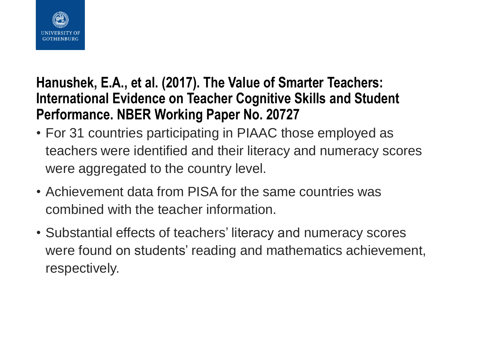

#### **Hanushek, E.A., et al. (2017). The Value of Smarter Teachers: International Evidence on Teacher Cognitive Skills and Student Performance. NBER Working Paper No. 20727**

- For 31 countries participating in PIAAC those employed as teachers were identified and their literacy and numeracy scores were aggregated to the country level.
- Achievement data from PISA for the same countries was combined with the teacher information.
- Substantial effects of teachers' literacy and numeracy scores were found on students' reading and mathematics achievement, respectively.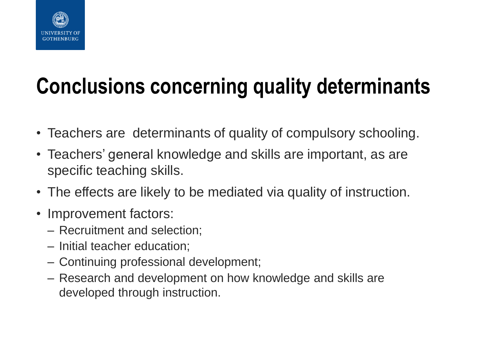

# **Conclusions concerning quality determinants**

- Teachers are determinants of quality of compulsory schooling.
- Teachers' general knowledge and skills are important, as are specific teaching skills.
- The effects are likely to be mediated via quality of instruction.
- Improvement factors:
	- Recruitment and selection;
	- Initial teacher education;
	- Continuing professional development;
	- Research and development on how knowledge and skills are developed through instruction.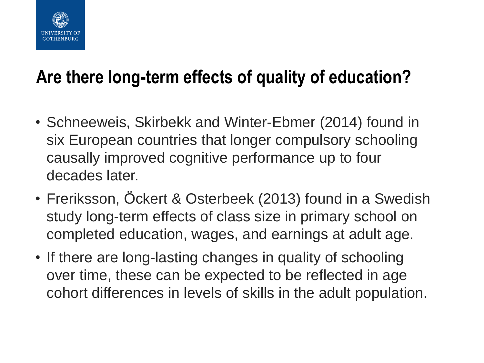

#### **Are there long-term effects of quality of education?**

- Schneeweis, Skirbekk and Winter-Ebmer (2014) found in six European countries that longer compulsory schooling causally improved cognitive performance up to four decades later.
- Freriksson, Öckert & Osterbeek (2013) found in a Swedish study long-term effects of class size in primary school on completed education, wages, and earnings at adult age.
- If there are long-lasting changes in quality of schooling over time, these can be expected to be reflected in age cohort differences in levels of skills in the adult population.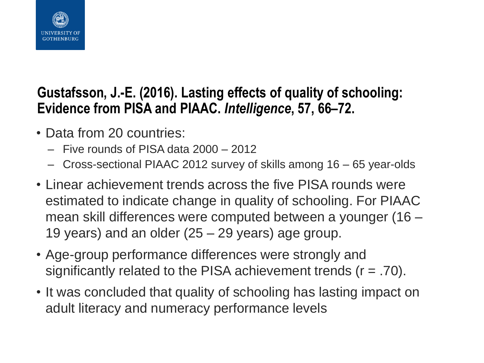

#### **Gustafsson, J.-E. (2016). Lasting effects of quality of schooling: Evidence from PISA and PIAAC.** *Intelligence***, 57, 66–72.**

- Data from 20 countries:
	- Five rounds of PISA data 2000 2012
	- Cross-sectional PIAAC 2012 survey of skills among 16 65 year-olds
- Linear achievement trends across the five PISA rounds were estimated to indicate change in quality of schooling. For PIAAC mean skill differences were computed between a younger (16 – 19 years) and an older (25 – 29 years) age group.
- Age-group performance differences were strongly and significantly related to the PISA achievement trends  $(r = .70)$ .
- It was concluded that quality of schooling has lasting impact on adult literacy and numeracy performance levels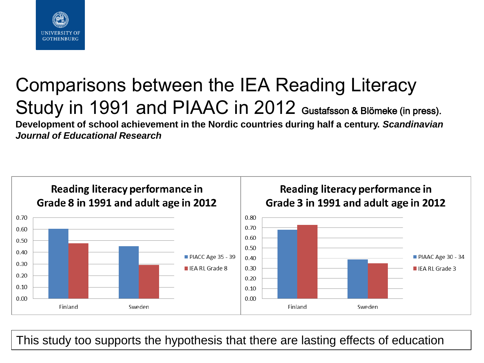

#### Comparisons between the IEA Reading Literacy Study in 1991 and PIAAC in 2012 Gustafsson & Blömeke (in press). **Development of school achievement in the Nordic countries during half a century.** *Scandinavian Journal of Educational Research*



This study too supports the hypothesis that there are lasting effects of education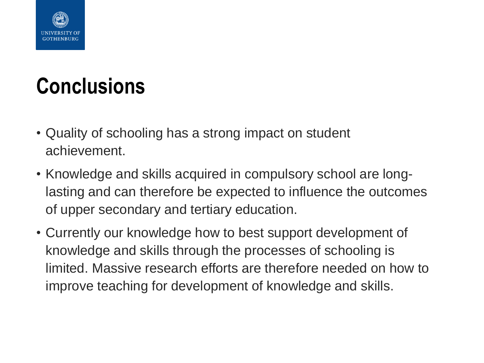

# **Conclusions**

- Quality of schooling has a strong impact on student achievement.
- Knowledge and skills acquired in compulsory school are longlasting and can therefore be expected to influence the outcomes of upper secondary and tertiary education.
- Currently our knowledge how to best support development of knowledge and skills through the processes of schooling is limited. Massive research efforts are therefore needed on how to improve teaching for development of knowledge and skills.